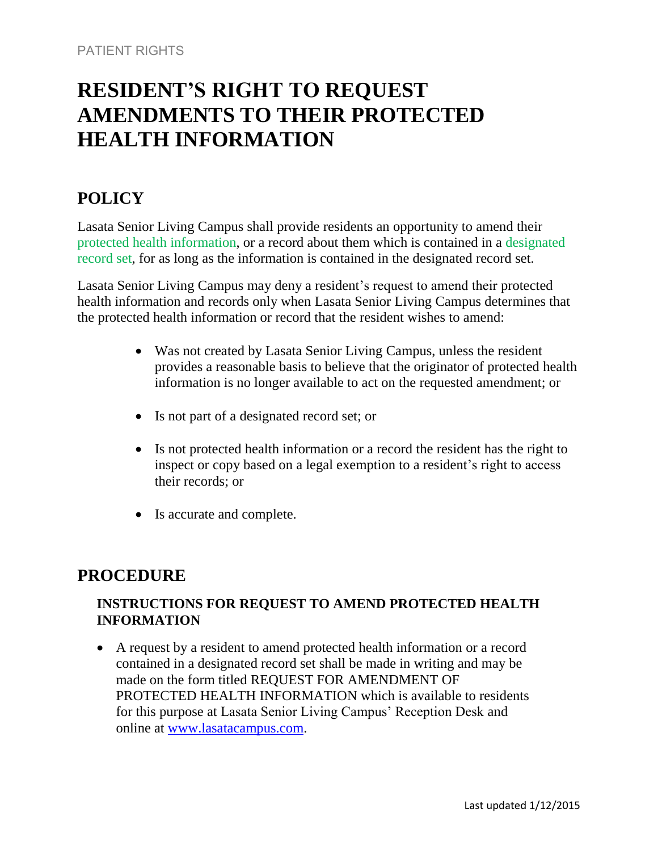# **RESIDENT'S RIGHT TO REQUEST AMENDMENTS TO THEIR PROTECTED HEALTH INFORMATION**

# **POLICY**

Lasata Senior Living Campus shall provide residents an opportunity to amend their protected health information, or a record about them which is contained in a designated record set, for as long as the information is contained in the designated record set.

Lasata Senior Living Campus may deny a resident's request to amend their protected health information and records only when Lasata Senior Living Campus determines that the protected health information or record that the resident wishes to amend:

- Was not created by Lasata Senior Living Campus, unless the resident provides a reasonable basis to believe that the originator of protected health information is no longer available to act on the requested amendment; or
- Is not part of a designated record set; or
- Is not protected health information or a record the resident has the right to inspect or copy based on a legal exemption to a resident's right to access their records; or
- Is accurate and complete.

# **PROCEDURE**

## **INSTRUCTIONS FOR REQUEST TO AMEND PROTECTED HEALTH INFORMATION**

 A request by a resident to amend protected health information or a record contained in a designated record set shall be made in writing and may be made on the form titled REQUEST FOR AMENDMENT OF PROTECTED HEALTH INFORMATION which is available to residents for this purpose at Lasata Senior Living Campus' Reception Desk and online at [www.lasatacampus.com.](http://www.lasatacampus.com/)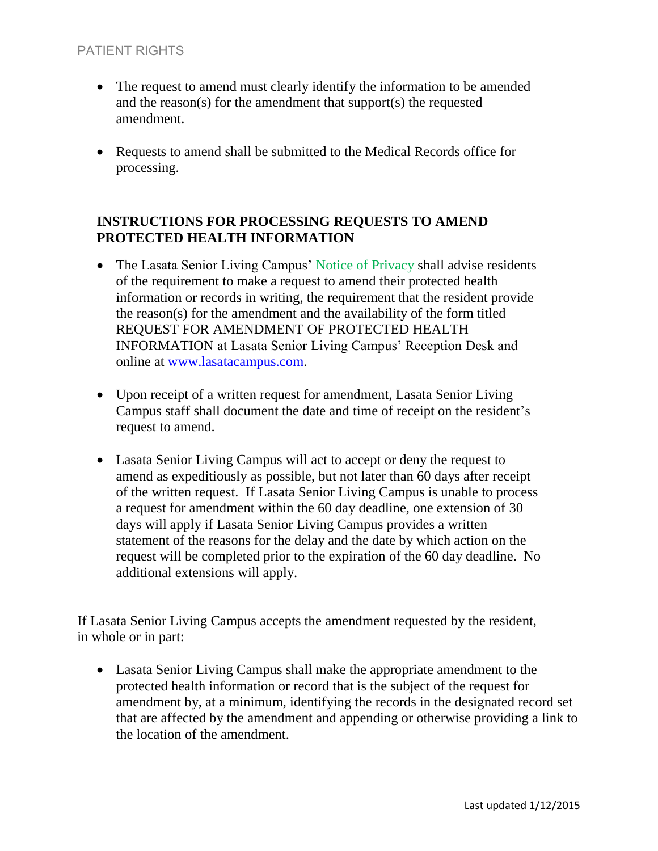### PATIENT RIGHTS

- The request to amend must clearly identify the information to be amended and the reason(s) for the amendment that support(s) the requested amendment.
- Requests to amend shall be submitted to the Medical Records office for processing.

### **INSTRUCTIONS FOR PROCESSING REQUESTS TO AMEND PROTECTED HEALTH INFORMATION**

- The Lasata Senior Living Campus' Notice of Privacy shall advise residents of the requirement to make a request to amend their protected health information or records in writing, the requirement that the resident provide the reason(s) for the amendment and the availability of the form titled REQUEST FOR AMENDMENT OF PROTECTED HEALTH INFORMATION at Lasata Senior Living Campus' Reception Desk and online at [www.lasatacampus.com.](http://www.lasatacampus.com/)
- Upon receipt of a written request for amendment, Lasata Senior Living Campus staff shall document the date and time of receipt on the resident's request to amend.
- Lasata Senior Living Campus will act to accept or deny the request to amend as expeditiously as possible, but not later than 60 days after receipt of the written request. If Lasata Senior Living Campus is unable to process a request for amendment within the 60 day deadline, one extension of 30 days will apply if Lasata Senior Living Campus provides a written statement of the reasons for the delay and the date by which action on the request will be completed prior to the expiration of the 60 day deadline. No additional extensions will apply.

If Lasata Senior Living Campus accepts the amendment requested by the resident, in whole or in part:

 Lasata Senior Living Campus shall make the appropriate amendment to the protected health information or record that is the subject of the request for amendment by, at a minimum, identifying the records in the designated record set that are affected by the amendment and appending or otherwise providing a link to the location of the amendment.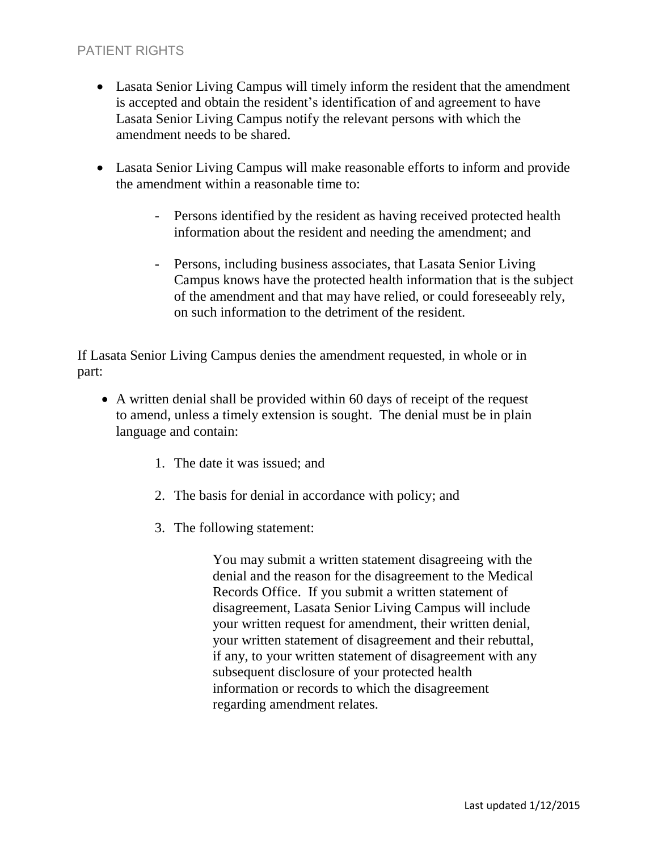### PATIENT RIGHTS

- Lasata Senior Living Campus will timely inform the resident that the amendment is accepted and obtain the resident's identification of and agreement to have Lasata Senior Living Campus notify the relevant persons with which the amendment needs to be shared.
- Lasata Senior Living Campus will make reasonable efforts to inform and provide the amendment within a reasonable time to:
	- Persons identified by the resident as having received protected health information about the resident and needing the amendment; and
	- Persons, including business associates, that Lasata Senior Living Campus knows have the protected health information that is the subject of the amendment and that may have relied, or could foreseeably rely, on such information to the detriment of the resident.

If Lasata Senior Living Campus denies the amendment requested, in whole or in part:

- A written denial shall be provided within 60 days of receipt of the request to amend, unless a timely extension is sought. The denial must be in plain language and contain:
	- 1. The date it was issued; and
	- 2. The basis for denial in accordance with policy; and
	- 3. The following statement:

You may submit a written statement disagreeing with the denial and the reason for the disagreement to the Medical Records Office. If you submit a written statement of disagreement, Lasata Senior Living Campus will include your written request for amendment, their written denial, your written statement of disagreement and their rebuttal, if any, to your written statement of disagreement with any subsequent disclosure of your protected health information or records to which the disagreement regarding amendment relates.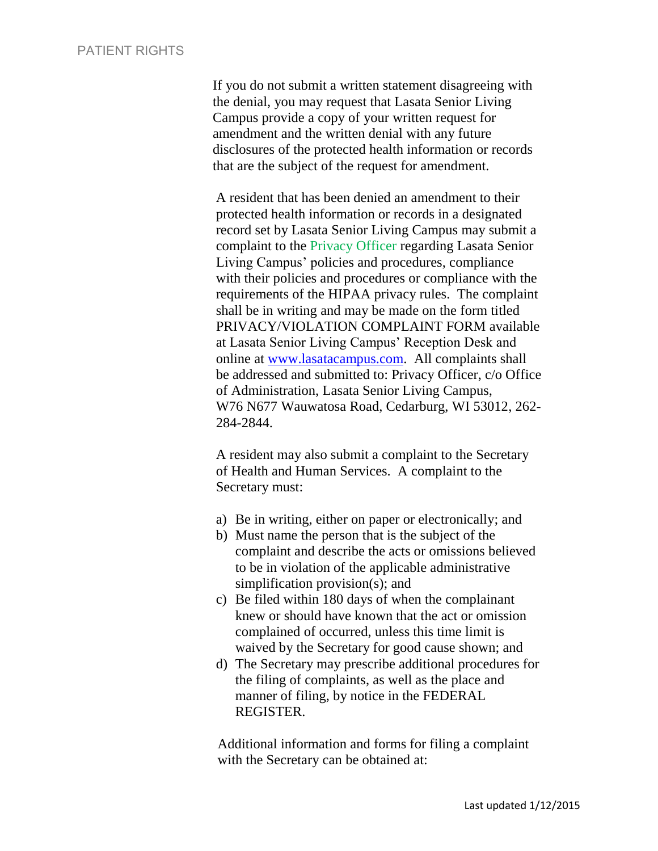If you do not submit a written statement disagreeing with the denial, you may request that Lasata Senior Living Campus provide a copy of your written request for amendment and the written denial with any future disclosures of the protected health information or records that are the subject of the request for amendment.

A resident that has been denied an amendment to their protected health information or records in a designated record set by Lasata Senior Living Campus may submit a complaint to the Privacy Officer regarding Lasata Senior Living Campus' policies and procedures, compliance with their policies and procedures or compliance with the requirements of the HIPAA privacy rules. The complaint shall be in writing and may be made on the form titled PRIVACY/VIOLATION COMPLAINT FORM available at Lasata Senior Living Campus' Reception Desk and online at [www.lasatacampus.com.](http://www.lasatacampus.com/) All complaints shall be addressed and submitted to: Privacy Officer, c/o Office of Administration, Lasata Senior Living Campus, W76 N677 Wauwatosa Road, Cedarburg, WI 53012, 262- 284-2844.

A resident may also submit a complaint to the Secretary of Health and Human Services. A complaint to the Secretary must:

- a) Be in writing, either on paper or electronically; and
- b) Must name the person that is the subject of the complaint and describe the acts or omissions believed to be in violation of the applicable administrative simplification provision(s); and
- c) Be filed within 180 days of when the complainant knew or should have known that the act or omission complained of occurred, unless this time limit is waived by the Secretary for good cause shown; and
- d) The Secretary may prescribe additional procedures for the filing of complaints, as well as the place and manner of filing, by notice in the FEDERAL REGISTER.

Additional information and forms for filing a complaint with the Secretary can be obtained at: